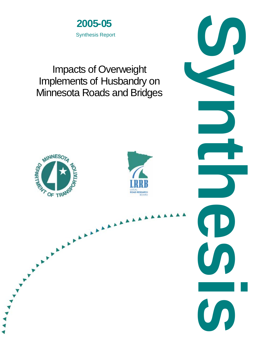

# Impacts of Overweight Implements of Husbandry on Minnesota Roads and Bridges

MINNESO

**CONTRACTOR** 



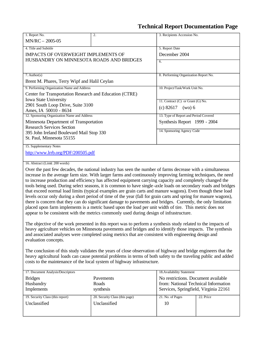# **Technical Report Documentation Page**

| 1. Report No.<br>MN/RC - 2005-05                                                                                                                                                                                                                                                                                                                                                                                                                                                                                                                                                                                                                                                                                                                                                                                                                                                                                                                                                                                                                                                                                                                                                                                                                                                                                                                                                                                                                                                                                                                                                                                                                                                                                                       | 2.                             | 3. Recipients Accession No.           |           |  |  |  |  |  |  |  |
|----------------------------------------------------------------------------------------------------------------------------------------------------------------------------------------------------------------------------------------------------------------------------------------------------------------------------------------------------------------------------------------------------------------------------------------------------------------------------------------------------------------------------------------------------------------------------------------------------------------------------------------------------------------------------------------------------------------------------------------------------------------------------------------------------------------------------------------------------------------------------------------------------------------------------------------------------------------------------------------------------------------------------------------------------------------------------------------------------------------------------------------------------------------------------------------------------------------------------------------------------------------------------------------------------------------------------------------------------------------------------------------------------------------------------------------------------------------------------------------------------------------------------------------------------------------------------------------------------------------------------------------------------------------------------------------------------------------------------------------|--------------------------------|---------------------------------------|-----------|--|--|--|--|--|--|--|
| 4. Title and Subtitle                                                                                                                                                                                                                                                                                                                                                                                                                                                                                                                                                                                                                                                                                                                                                                                                                                                                                                                                                                                                                                                                                                                                                                                                                                                                                                                                                                                                                                                                                                                                                                                                                                                                                                                  | 5. Report Date                 |                                       |           |  |  |  |  |  |  |  |
| <b>IMPACTS OF OVERWEIGHT IMPLEMENTS OF</b>                                                                                                                                                                                                                                                                                                                                                                                                                                                                                                                                                                                                                                                                                                                                                                                                                                                                                                                                                                                                                                                                                                                                                                                                                                                                                                                                                                                                                                                                                                                                                                                                                                                                                             | December 2004                  |                                       |           |  |  |  |  |  |  |  |
| HUSBANDRY ON MINNESOTA ROADS AND BRIDGES                                                                                                                                                                                                                                                                                                                                                                                                                                                                                                                                                                                                                                                                                                                                                                                                                                                                                                                                                                                                                                                                                                                                                                                                                                                                                                                                                                                                                                                                                                                                                                                                                                                                                               | 6.                             |                                       |           |  |  |  |  |  |  |  |
|                                                                                                                                                                                                                                                                                                                                                                                                                                                                                                                                                                                                                                                                                                                                                                                                                                                                                                                                                                                                                                                                                                                                                                                                                                                                                                                                                                                                                                                                                                                                                                                                                                                                                                                                        |                                |                                       |           |  |  |  |  |  |  |  |
| $7.$ Author(s)                                                                                                                                                                                                                                                                                                                                                                                                                                                                                                                                                                                                                                                                                                                                                                                                                                                                                                                                                                                                                                                                                                                                                                                                                                                                                                                                                                                                                                                                                                                                                                                                                                                                                                                         |                                | 8. Performing Organization Report No. |           |  |  |  |  |  |  |  |
| Brent M. Phares, Terry Wipf and Halil Ceylan                                                                                                                                                                                                                                                                                                                                                                                                                                                                                                                                                                                                                                                                                                                                                                                                                                                                                                                                                                                                                                                                                                                                                                                                                                                                                                                                                                                                                                                                                                                                                                                                                                                                                           |                                |                                       |           |  |  |  |  |  |  |  |
| 9. Performing Organization Name and Address                                                                                                                                                                                                                                                                                                                                                                                                                                                                                                                                                                                                                                                                                                                                                                                                                                                                                                                                                                                                                                                                                                                                                                                                                                                                                                                                                                                                                                                                                                                                                                                                                                                                                            | 10. Project/Task/Work Unit No. |                                       |           |  |  |  |  |  |  |  |
| Center for Transportation Research and Education (CTRE)                                                                                                                                                                                                                                                                                                                                                                                                                                                                                                                                                                                                                                                                                                                                                                                                                                                                                                                                                                                                                                                                                                                                                                                                                                                                                                                                                                                                                                                                                                                                                                                                                                                                                |                                |                                       |           |  |  |  |  |  |  |  |
| Iowa State University                                                                                                                                                                                                                                                                                                                                                                                                                                                                                                                                                                                                                                                                                                                                                                                                                                                                                                                                                                                                                                                                                                                                                                                                                                                                                                                                                                                                                                                                                                                                                                                                                                                                                                                  |                                | 11. Contract (C) or Grant (G) No.     |           |  |  |  |  |  |  |  |
| 2901 South Loop Drive, Suite 3100<br>Ames, IA 50010 - 8634                                                                                                                                                                                                                                                                                                                                                                                                                                                                                                                                                                                                                                                                                                                                                                                                                                                                                                                                                                                                                                                                                                                                                                                                                                                                                                                                                                                                                                                                                                                                                                                                                                                                             |                                | (c) 82617<br>$(wo)$ 6                 |           |  |  |  |  |  |  |  |
| 12. Sponsoring Organization Name and Address                                                                                                                                                                                                                                                                                                                                                                                                                                                                                                                                                                                                                                                                                                                                                                                                                                                                                                                                                                                                                                                                                                                                                                                                                                                                                                                                                                                                                                                                                                                                                                                                                                                                                           |                                | 13. Type of Report and Period Covered |           |  |  |  |  |  |  |  |
| Minnesota Department of Transportation                                                                                                                                                                                                                                                                                                                                                                                                                                                                                                                                                                                                                                                                                                                                                                                                                                                                                                                                                                                                                                                                                                                                                                                                                                                                                                                                                                                                                                                                                                                                                                                                                                                                                                 |                                | Synthesis Report 1999 - 2004          |           |  |  |  |  |  |  |  |
| <b>Research Services Section</b>                                                                                                                                                                                                                                                                                                                                                                                                                                                                                                                                                                                                                                                                                                                                                                                                                                                                                                                                                                                                                                                                                                                                                                                                                                                                                                                                                                                                                                                                                                                                                                                                                                                                                                       |                                |                                       |           |  |  |  |  |  |  |  |
| 395 John Ireland Boulevard Mail Stop 330                                                                                                                                                                                                                                                                                                                                                                                                                                                                                                                                                                                                                                                                                                                                                                                                                                                                                                                                                                                                                                                                                                                                                                                                                                                                                                                                                                                                                                                                                                                                                                                                                                                                                               |                                | 14. Sponsoring Agency Code            |           |  |  |  |  |  |  |  |
| St. Paul, Minnesota 55155                                                                                                                                                                                                                                                                                                                                                                                                                                                                                                                                                                                                                                                                                                                                                                                                                                                                                                                                                                                                                                                                                                                                                                                                                                                                                                                                                                                                                                                                                                                                                                                                                                                                                                              |                                |                                       |           |  |  |  |  |  |  |  |
| 15. Supplementary Notes                                                                                                                                                                                                                                                                                                                                                                                                                                                                                                                                                                                                                                                                                                                                                                                                                                                                                                                                                                                                                                                                                                                                                                                                                                                                                                                                                                                                                                                                                                                                                                                                                                                                                                                |                                |                                       |           |  |  |  |  |  |  |  |
| http://www.lrrb.org/PDF/200505.pdf                                                                                                                                                                                                                                                                                                                                                                                                                                                                                                                                                                                                                                                                                                                                                                                                                                                                                                                                                                                                                                                                                                                                                                                                                                                                                                                                                                                                                                                                                                                                                                                                                                                                                                     |                                |                                       |           |  |  |  |  |  |  |  |
| 16. Abstract (Limit: 200 words)<br>Over the past few decades, the national industry has seen the number of farms decrease with a simultaneous<br>increase in the average farm size. With larger farms and continuously improving farming techniques, the need<br>to increase production and efficiency has affected equipment carrying capacity and completely changed the<br>tools being used. During select seasons, it is common to have single-axle loads on secondary roads and bridges<br>that exceed normal load limits (typical examples are grain carts and manure wagons). Even though these load<br>levels occur only during a short period of time of the year (fall for grain carts and spring for manure wagons),<br>there is concern that they can do significant damage to pavements and bridges. Currently, the only limitation<br>placed upon farm implements is a metric based upon the load per unit width of tire. This metric does not<br>appear to be consistent with the metrics commonly used during design of infrastructure.<br>The objective of the work presented in this report was to perform a synthesis study related to the impacts of<br>heavy agriculture vehicles on Minnesota pavements and bridges and to identify those impacts. The synthesis<br>and associated analyses were completed using metrics that are consistent with engineering design and<br>evaluation concepts.<br>The conclusion of this study validates the years of close observation of highway and bridge engineers that the<br>heavy agricultural loads can cause potential problems in terms of both safety to the traveling public and added<br>costs to the maintenance of the local system of highway infrastructure. |                                |                                       |           |  |  |  |  |  |  |  |
| 17. Document Analysis/Descriptors                                                                                                                                                                                                                                                                                                                                                                                                                                                                                                                                                                                                                                                                                                                                                                                                                                                                                                                                                                                                                                                                                                                                                                                                                                                                                                                                                                                                                                                                                                                                                                                                                                                                                                      | 18. Availability Statement     |                                       |           |  |  |  |  |  |  |  |
| <b>Bridges</b>                                                                                                                                                                                                                                                                                                                                                                                                                                                                                                                                                                                                                                                                                                                                                                                                                                                                                                                                                                                                                                                                                                                                                                                                                                                                                                                                                                                                                                                                                                                                                                                                                                                                                                                         | Pavements                      | No restrictions. Document available   |           |  |  |  |  |  |  |  |
| Husbandry                                                                                                                                                                                                                                                                                                                                                                                                                                                                                                                                                                                                                                                                                                                                                                                                                                                                                                                                                                                                                                                                                                                                                                                                                                                                                                                                                                                                                                                                                                                                                                                                                                                                                                                              | Roads                          | from: National Technical Information  |           |  |  |  |  |  |  |  |
| Implements                                                                                                                                                                                                                                                                                                                                                                                                                                                                                                                                                                                                                                                                                                                                                                                                                                                                                                                                                                                                                                                                                                                                                                                                                                                                                                                                                                                                                                                                                                                                                                                                                                                                                                                             | synthesis                      | Services, Springfield, Virginia 22161 |           |  |  |  |  |  |  |  |
| 19. Security Class (this report)                                                                                                                                                                                                                                                                                                                                                                                                                                                                                                                                                                                                                                                                                                                                                                                                                                                                                                                                                                                                                                                                                                                                                                                                                                                                                                                                                                                                                                                                                                                                                                                                                                                                                                       | 20. Security Class (this page) | 21. No. of Pages                      | 22. Price |  |  |  |  |  |  |  |
| Unclassified                                                                                                                                                                                                                                                                                                                                                                                                                                                                                                                                                                                                                                                                                                                                                                                                                                                                                                                                                                                                                                                                                                                                                                                                                                                                                                                                                                                                                                                                                                                                                                                                                                                                                                                           | 10                             |                                       |           |  |  |  |  |  |  |  |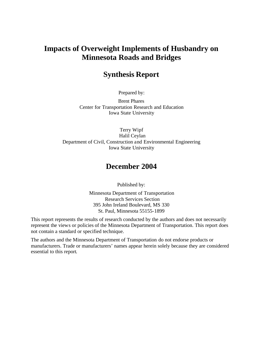### **Impacts of Overweight Implements of Husbandry on Minnesota Roads and Bridges**

## **Synthesis Report**

Prepared by:

Brent Phares Center for Transportation Research and Education Iowa State University

Terry Wipf Halil Ceylan Department of Civil, Construction and Environmental Engineering Iowa State University

### **December 2004**

Published by:

Minnesota Department of Transportation Research Services Section 395 John Ireland Boulevard, MS 330 St. Paul, Minnesota 55155-1899

This report represents the results of research conducted by the authors and does not necessarily represent the views or policies of the Minnesota Department of Transportation. This report does not contain a standard or specified technique.

The authors and the Minnesota Department of Transportation do not endorse products or manufacturers. Trade or manufacturers' names appear herein solely because they are considered essential to this report.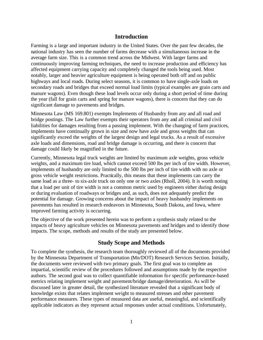#### **Introduction**

Farming is a large and important industry in the United States. Over the past few decades, the national industry has seen the number of farms decrease with a simultaneous increase in the average farm size. This is a common trend across the Midwest. With larger farms and continuously improving farming techniques, the need to increase production and efficiency has affected equipment carrying capacity and completely changed the tools being used. Most notably, larger and heavier agriculture equipment is being operated both off and on public highways and local roads. During select seasons, it is common to have single-axle loads on secondary roads and bridges that exceed normal load limits (typical examples are grain carts and manure wagons). Even though these load levels occur only during a short period of time during the year (fall for grain carts and spring for manure wagons), there is concern that they can do significant damage to pavements and bridges.

Minnesota Law (MS 169.801) exempts Implements of Husbandry from any and all road and bridge postings. The Law further exempts their operators from any and all criminal and civil liabilities for damages resulting from a passing implement. With the changing of farm practices, implements have continually grown in size and now have axle and gross weights that can significantly exceed the weights of the largest design and legal trucks. As a result of excessive axle loads and dimensions, road and bridge damage is occurring, and there is concern that damage could likely be magnified in the future.

Currently, Minnesota legal truck weights are limited by maximum axle weights, gross vehicle weights, and a maximum tire load, which cannot exceed 500 lbs per inch of tire width. However, implements of husbandry are only limited to the 500 lbs per inch of tire width with no axle or gross vehicle weight restrictions. Practically, this means that these implements can carry the same load as a three- to six-axle truck on only one or two axles (Rholl, 2004). It is worth noting that a load per unit of tire width is not a common metric used by engineers either during design or during evaluation of roadways or bridges and, as such, does not adequately predict the potential for damage. Growing concerns about the impact of heavy husbandry implements on pavements has resulted in research endeavors in Minnesota, South Dakota, and Iowa, where improved farming activity is occurring.

The objective of the work presented herein was to perform a synthesis study related to the impacts of heavy agriculture vehicles on Minnesota pavements and bridges and to identify those impacts. The scope, methods and results of the study are presented below.

#### **Study Scope and Methods**

To complete the synthesis, the research team thoroughly reviewed all of the documents provided by the Minnesota Department of Transportation (Mn/DOT) Research Services Section. Initially, the documents were reviewed with two primary goals. The first goal was to complete an impartial, scientific review of the procedures followed and assumptions made by the respective authors. The second goal was to collect quantifiable information for specific performance-based metrics relating implement weight and pavement/bridge damage/deterioration. As will be discussed later in greater detail, the synthesized literature revealed that a significant body of knowledge exists that relates implement weight to measured stresses and other pavement performance measures. These types of measured data are useful, meaningful, and scientifically applicable indicators as they represent actual responses under actual conditions. Unfortunately,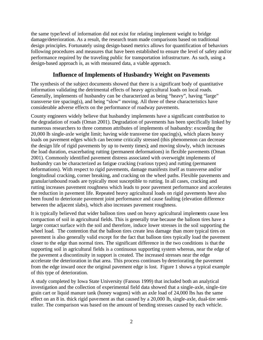the same type/level of information did not exist for relating implement weight to bridge damage/deterioration. As a result, the research team made comparisons based on traditional design principles. Fortunately using design-based metrics allows for quantification of behaviors following procedures and measures that have been established to ensure the level of safety and/or performance required by the traveling public for transportation infrastructure. As such, using a design-based approach is, as with measured data, a viable approach.

#### **Influence of Implements of Husbandry Weight on Pavements**

The synthesis of the subject documents showed that there is a significant body of quantitative information validating the detrimental effects of heavy agricultural loads on local roads. Generally, implements of husbandry can be characterized as being "heavy", having "large" transverse tire spacing(s), and being "slow" moving. All three of these characteristics have considerable adverse effects on the performance of roadway pavements.

County engineers widely believe that husbandry implements have a significant contribution to the degradation of roads (Oman 2001). Degradation of pavements has been specifically linked by numerous researchers to three common attributes of implements of husbandry: exceeding the 20,000 lb single-axle weight limit; having wide transverse tire spacing(s), which places heavy loads on pavement edges which can become critically stressed (this phenomenon can decrease the design life of rigid pavements by up to twenty times); and moving slowly, which increases the load duration, exacerbating rutting (permanent deformations) in flexible pavements (Oman 2001). Commonly identified pavement distress associated with overweight implements of husbandry can be characterized as fatigue cracking (various types) and rutting (permanent deformations). With respect to rigid pavements, damage manifests itself as transverse and/or longitudinal cracking, corner breaking, and cracking on the wheel paths. Flexible pavements and granular/unbound roads are typically most susceptible to rutting. In all cases, cracking and rutting increases pavement roughness which leads to poor pavement performance and accelerates the reduction in pavement life. Repeated heavy agricultural loads on rigid pavements have also been found to deteriorate pavement joint performance and cause faulting (elevation difference between the adjacent slabs), which also increases pavement roughness.

It is typically believed that wider balloon tires used on heavy agricultural implements cause less compaction of soil in agricultural fields. This is generally true because the balloon tires have a larger contact surface with the soil and therefore, induce lower stresses in the soil supporting the wheel load. The contention that the balloon tires create less damage than more typical tires on pavement is also generally valid except for the fact that balloon tires typically load the pavement closer to the edge than normal tires. The significant difference in the two conditions is that the supporting soil in agricultural fields is a continuous supporting system whereas, near the edge of the pavement a discontinuity in support is created. The increased stresses near the edge accelerate the deterioration in that area. This process continues by deteriorating the pavement from the edge inward once the original pavement edge is lost. Figure 1 shows a typical example of this type of deterioration.

A study completed by Iowa State University (Fanous 1999) that included both an analytical investigation and the collection of experimental field data showed that a single-axle, single-tire grain cart or liquid manure tank (honey wagons) with an axle load of 24,000 lbs has the same effect on an 8 in. thick rigid pave ment as that caused by a 20,000 lb, single-axle, dual-tire semitrailer. The comparison was based on the amount of bending stresses caused by each vehicle.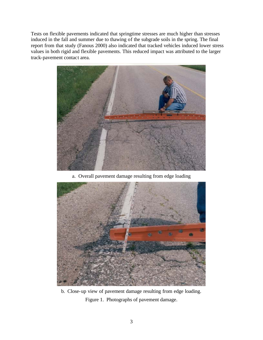Tests on flexible pavements indicated that springtime stresses are much higher than stresses induced in the fall and summer due to thawing of the subgrade soils in the spring. The final report from that study (Fanous 2000) also indicated that tracked vehicles induced lower stress values in both rigid and flexible pavements. This reduced impact was attributed to the larger track-pavement contact area.



a. Overall pavement damage resulting from edge loading



b. Close-up view of pavement damage resulting from edge loading. Figure 1. Photographs of pavement damage.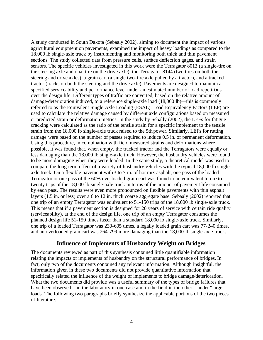A study conducted in South Dakota (Sebaaly 2002), aiming to document the impact of various agricultural equipment on pavements, examined the impact of heavy loadings as compared to the 18,000 lb single-axle truck by instrumenting and monitoring both thick and thin pavement sections. The study collected data from pressure cells, surface deflection gages, and strain sensors. The specific vehicles investigated in this work were the Terragator 8013 (a single-tire on the steering axle and dual-tire on the drive axle), the Terragator 8144 (two tires on both the steering and drive axles), a grain cart (a single two-tire axle pulled by a tractor), and a tracked tractor (tracks on both the steering and the drive axle). Pavements are designed to maintain a specified serviceability and performance level under an estimated number of load repetitions over the design life. Different types of traffic are converted, based on the relative amount of damage/deterioration induced, to a reference single-axle load (18,000 lb)—this is commonly referred to as the Equivalent Single Axle Loading (ESAL). Load Eq uivalency Factors (LEF) are used to calculate the relative damage caused by different axle configurations based on measured or predicted strain or deformation metrics. In the study by Sebally (2002), the LEFs for fatigue cracking were calculated as the ratio of the tensile strain for a specific implement to the tensile strain from the 18,000 lb single-axle truck raised to the 5th power. Similarly, LEFs for rutting damage were based on the number of passes required to induce 0.5 in. of permanent deformation. Using this procedure, in combination with field measured strains and deformations where possible, it was found that, when empty, the tracked tractor and the Terragators were equally or less damaging than the 18,000 lb single-axle truck. However, the husbandry vehicles were found to be more damaging when they were loaded. In the same study, a theoretical model was used to compare the long-term effect of a variety of husbandry vehicles with the typical 18,000 lb singleaxle truck. On a flexible pavement with 3 to 7 in. of hot mix asphalt, one pass of the loaded Terragator or one pass of the 60% overloaded grain cart was found to be equivalent to one to twenty trips of the 18,000 lb single-axle truck in terms of the amount of pavement life consumed by each pass. The results were even more pronounced on flexible pavements with thin asphalt layers (1.5 in. or less) over a 6 to 12 in. thick coarse aggregate base. Sebaaly (2002) reported that one trip of an empty Terragator was equivalent to 51-150 trips of the 18,000 lb single-axle truck. This means that if a pavement section is designed for 20 years of service with certain ride quality (serviceability), at the end of the design life, one trip of an empty Terragator consumes the planned design life 51-150 times faster than a standard 18,000 lb single-axle truck. Similarly, one trip of a loaded Terragator was 230-605 times, a legally loaded grain cart was 77-240 times, and an overloaded grain cart was 264-799 more damaging than the 18,000 lb single-axle truck.

#### **Influence of Implements of Husbandry Weight on Bridges**

The documents reviewed as part of this synthesis contained little quantifiable information relating the impacts of implements of husbandry on the structural performance of bridges. In fact, only two of the documents contained any relevant information. Although insightful, the information given in these two documents did not provide quantitative information that specifically related the influence of the weight of implements to bridge damage/deterioration. What the two documents did provide was a useful summary of the types of bridge failures that have been observed—in the laboratory in one case and in the field in the other—under "large" loads. The following two paragraphs briefly synthesize the applicable portions of the two pieces of literature.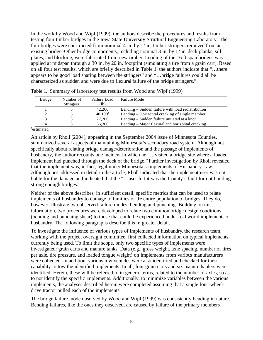In the work by Wood and Wipf (1999), the authors describe the procedures and results from testing four timber bridges in the Iowa State University Structural Engineering Laboratory. The four bridges were constructed from nominal 4 in. by 12 in. timber stringers removed from an existing bridge. Other bridge components, including nominal 3 in. by 12 in. deck planks, sill plates, and blocking, were fabricated from new timber. Loading of the 16 ft span bridges was applied at midspan through a 30 in. by 20 in. footprint (simulating a tire from a grain cart). Based on all four test results, which are briefly described in Table 1, the authors indicate that "…there appears to be good load sharing between the stringers" and "…bridge failures could all be characterized as sudden and were due to flexural failure of the bridge stringers."

| <b>Bridge</b>                                        | Number of        | Failure Load | <b>Failure Mode</b>                               |
|------------------------------------------------------|------------------|--------------|---------------------------------------------------|
|                                                      | <b>Stringers</b> | (lb)         |                                                   |
|                                                      |                  | 42,200       | Bending – Sudden failure with load redistribution |
|                                                      |                  | $40,100^e$   | Bending – Horizontal cracking of single member    |
|                                                      |                  | 27,200       | Bending – Sudden failure initiated at a knot      |
|                                                      |                  | 36,300       | Bending – Major flexural and horizontal cracking  |
| $e_{\alpha\alpha\downarrow\sigma\alpha\sigma\alpha}$ |                  |              |                                                   |

Table 1. Summary of laboratory test results from Wood and Wipf (1999)

estimated

An article by Rholl (2004), appearing in the September 2004 issue of Minnesota Counties, summarized several aspects of maintaining Minnesota's secondary road system. Although not specifically about relating bridge damage/deterioration and the passage of implements of husbandry, the author recounts one incident in which he "...visited a bridge site where a loaded implement had punched through the deck of the bridge." Further investigation by Rholl revealed that the implement was, in fact, legal under Minnesota's Implements of Husbandry Law. Although not addressed in detail in the article, Rholl indicated that the implement user was not liable for the damage and indicated that the "…user felt it was the County's fault for not building strong enough bridges."

Neither of the above describes, in sufficient detail, specific metrics that can be used to relate implements of husbandry to damage to families or the entire population of bridges. They do, however, illustrate two observed failure modes: bending and punching. Building on this information, two procedures were developed to relate two common bridge design conditions (bending and punching shear) to those that could be experienced under real-world implements of husbandry. The following paragraphs describe this in greater detail.

To inve stigate the influence of various types of implements of husbandry, the research team, working with the project oversight committee, first collected information on typical implements currently being used. To limit the scope, only two specific types of implements were investigated: grain carts and manure tanks. Data (e.g., gross weight, axle spacing, number of tires per axle, tire pressure, and loaded tongue weight) on implements from various manufacturers were collected. In addition, various tow vehicles were also identified and checked for their capability to tow the identified implements. In all, four grain carts and six manure haulers were identified. Herein, these will be referred to in generic terms, related to the number of axles, so as to not identify the specific implements. Additionally, to minimize variables between the various implements, the analyses described herein were completed assuming that a single four-wheeldrive tractor pulled each of the implements.

The bridge failure mode observed by Wood and Wipf (1999) was consistently bending in nature. Bending failures, like the ones they observed, are caused by failure of the primary members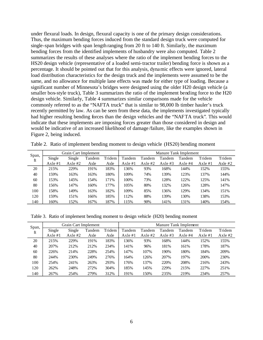under flexural loads. In design, flexural capacity is one of the primary design considerations. Thus, the maximum bending forces induced from the standard design truck were computed for single-span bridges with span length ranging from 20 ft to 140 ft. Similarly, the maximum bending forces from the identified implements of husbandry were also computed. Table 2 summarizes the results of these analyses where the ratio of the implement bending forces to the HS20 design vehicle (representative of a loaded semi-tractor trailer) bending force is shown as a percentage. It should be pointed out that for this analysis, dyna mic effects were ignored, lateral load distribution characteristics for the design truck and the implements were assumed to be the same, and no allowance for multiple lane effects was made for either type of loading. Because a significant number of Minnesota's bridges were designed using the older H20 design vehicle (a smaller box-style truck), Table 3 summarizes the ratio of the implement bending force to the H20 design vehicle. Similarly, Table 4 summarizes similar comparisons made for the vehicle commonly referred to as the "NAFTA truck" that is similar to 98,000 lb timber hauler's truck recently permitted by law. As can be seen from these data, the implements investigated typically had higher resulting bending forces than the design vehicles and the "NAFTA truck". This would indicate that these implements are imposing forces greater than those considered in design and would be indicative of an increased likelihood of damage /failure, like the examples shown in Figure 2, being induced.

| Span, | Grain Cart Implement |           |        |        | Manure Tank Implement |           |           |           |           |           |
|-------|----------------------|-----------|--------|--------|-----------------------|-----------|-----------|-----------|-----------|-----------|
| ft    | Single               | Single    | Tandem | Tridem | Tandem                | Tandem    | Tandem    | Tandem    | Tridem    | Tridem    |
|       | Axle $#1$            | Axle $#2$ | Axle   | Axle   | Axle $#1$             | Axle $#2$ | Axle $#3$ | Axle $#4$ | Axle $#1$ | Axle $#2$ |
| 20    | 215%                 | 229%      | 191%   | 183%   | 136%                  | 93%       | 168%      | 144%      | 152%      | 155%      |
| 40    | 159%                 | 163%      | 163%   | 180%   | 109%                  | 74%       | 139%      | 123%      | 137%      | 144%      |
| 60    | 153%                 | 145%      | 154%   | 171%   | 100%                  | 73%       | 128%      | 122%      | 125%      | 141%      |
| 80    | 156%                 | 147%      | 160%   | 177%   | 105%                  | 80%       | 132%      | 126%      | 128%      | 147%      |
| 100   | 158%                 | 149%      | 163%   | 182%   | 109%                  | 85%       | 136%      | 129%      | 134%      | 151%      |
| 120   | 159%                 | 151%      | 166%   | 185%   | 112%                  | 88%       | 139%      | 130%      | 138%      | 153%      |
| 140   | 160%                 | 152%      | 167%   | 187%   | 115%                  | 90%       | 141%      | 131%      | 140%      | 154%      |

Table 2. Ratio of implement bending moment to design vehicle (HS20) bending moment

Table 3. Ratio of implement bending moment to design vehicle (H20) bending moment

| Span, | Grain Cart Implement |           |        |        | Manure Tank Implement |           |           |           |           |           |
|-------|----------------------|-----------|--------|--------|-----------------------|-----------|-----------|-----------|-----------|-----------|
| ft    | Single               | Single    | Tandem | Tridem | Tandem                | Tandem    | Tandem    | Tandem    | Tridem    | Tridem    |
|       | Axle $#1$            | Axle $#2$ | Axle   | Axle   | Axle $#1$             | Axle $#2$ | Axle $#3$ | Axle $#4$ | Axle $#1$ | Axle $#2$ |
| 20    | 215%                 | 229%      | 191%   | 183%   | 136%                  | 93%       | 168%      | 144%      | 152%      | 155%      |
| 40    | 207%                 | 212%      | 212%   | 234%   | 141%                  | 96%       | 181%      | 161%      | 178%      | 187%      |
| 60    | 226%                 | 214%      | 228%   | 254%   | 147%                  | 107%      | 190%      | 180%      | 184%      | 209%      |
| 80    | 244%                 | 230%      | 249%   | 276%   | 164%                  | 126%      | 207%      | 197%      | 200%      | 230%      |
| 100   | 254%                 | 241%      | 263%   | 293%   | 176%                  | 137%      | 220%      | 208%      | 216%      | 243%      |
| 120   | 262%                 | 248%      | 272%   | 304%   | 185%                  | 145%      | 229%      | 215%      | 227%      | 251%      |
| 140   | 267%                 | 254%      | 279%   | 312%   | 191%                  | 150%      | 235%      | 219%      | 234%      | 257%      |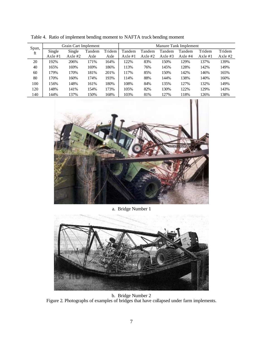| Span,<br>ft | Grain Cart Implement |           |        |        | Manure Tank Implement |           |           |           |           |           |  |
|-------------|----------------------|-----------|--------|--------|-----------------------|-----------|-----------|-----------|-----------|-----------|--|
|             | Single               | Single    | Tandem | Tridem | Tandem                | Tandem    | Tandem    | Tandem    | Tridem    | Tridem    |  |
|             | Axle $#1$            | Axle $#2$ | Axle   | Axle   | Axle $#1$             | Axle $#2$ | Axle $#3$ | Axle $#4$ | Axle $#1$ | Axle $#2$ |  |
| 20          | 192%                 | 206%      | 171%   | 164%   | 122%                  | 83%       | 150%      | 129%      | 137%      | 139%      |  |
| 40          | 165%                 | 169%      | 169%   | 186%   | 113%                  | 76%       | 145%      | 128%      | 142%      | 149%      |  |
| 60          | 179%                 | 170%      | 181%   | 201%   | 117%                  | 85%       | 150%      | 142%      | 146%      | 165%      |  |
| 80          | 170%                 | 160%      | 174%   | 193%   | 114%                  | 88%       | 144%      | 138%      | 140%      | 160%      |  |
| 100         | 156%                 | 148%      | 161%   | 180%   | 108%                  | 84%       | 135%      | 127%      | 132%      | 149%      |  |
| 120         | 148%                 | 141%      | 154%   | 173%   | 105%                  | 82%       | 130%      | 122%      | 129%      | 143%      |  |
| 140         | 144%                 | 137%      | 150%   | 168%   | 103%                  | 81%       | 127%      | 118%      | 126%      | 138%      |  |

Table 4. Ratio of implement bending moment to NAFTA truck bending moment



a. Bridge Number 1



b. Bridge Number 2 Figure 2. Photographs of examples of bridges that have collapsed under farm implements.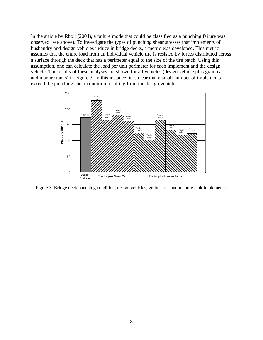In the article by Rholl (2004), a failure mode that could be classified as a punching failure was observed (see above). To investigate the types of punching shear stresses that implements of husbandry and design vehicles induce in bridge decks, a metric was developed. This metric assumes that the entire load from an individual vehicle tire is resisted by forces distributed across a surface through the deck that has a perimeter equal to the size of the tire patch. Using this assumption, one can calculate the load per unit perimeter for each implement and the design vehicle. The results of these analyses are shown for all vehicles (design vehicle plus grain carts and manure tanks) in Figure 3. In this instance, it is clear that a small number of implements exceed the punching shear condition resulting from the design vehicle.



Figure 3. Bridge deck punching condition; design vehicles, grain carts, and manure tank implements.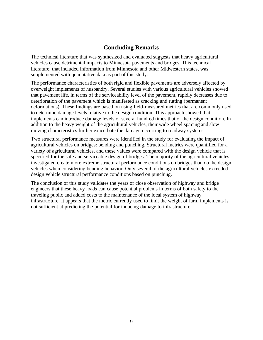#### **Concluding Remarks**

The technical literature that was synthesized and evaluated suggests that heavy agricultural vehicles cause detrimental impacts to Minnesota pavements and bridges. This technical literature, that included information from Minnesota and other Midwestern states, was supplemented with quantitative data as part of this study.

The performance characteristics of both rigid and flexible pavements are adversely affected by overweight implements of husbandry. Several studies with various agricultural vehicles showed that pavement life, in terms of the serviceability level of the pavement, rapidly decreases due to deterioration of the pavement which is manifested as cracking and rutting (permanent deformations). These findings are based on using field-measured metrics that are commonly used to determine damage levels relative to the design condition. This approach showed that implements can introduce damage levels of several hundred times that of the design condition. In addition to the heavy weight of the agricultural vehicles, their wide wheel spacing and slow moving characteristics further exacerbate the damage occurring to roadway systems.

Two structural performance measures were identified in the study for evaluating the impact of agricultural vehicles on bridges: bending and punching. Structural metrics were quantified for a variety of agricultural vehicles, and these values were compared with the design vehicle that is specified for the safe and serviceable design of bridges. The majority of the agricultural vehicles investigated create more extreme structural performance conditions on bridges than do the design vehicles when considering bending behavior. Only several of the agricultural vehicles exceeded design vehicle structural performance conditions based on punching.

The conclusion of this study validates the years of close observation of highway and bridge engineers that these heavy loads can cause potential problems in terms of both safety to the traveling public and added costs to the maintenance of the local system of highway infrastruc ture. It appears that the metric currently used to limit the weight of farm implements is not sufficient at predicting the potential for inducing damage to infrastructure.